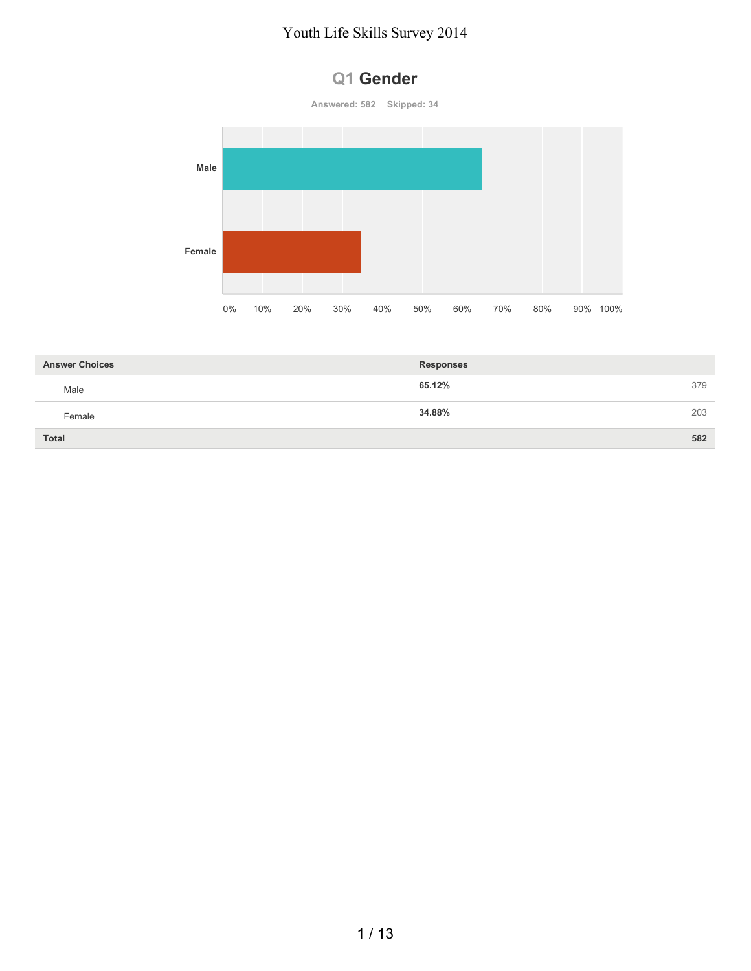



| <b>Answer Choices</b> | <b>Responses</b> |     |
|-----------------------|------------------|-----|
| Male                  | 65.12%           | 379 |
| Female                | 34.88%           | 203 |
| <b>Total</b>          |                  | 582 |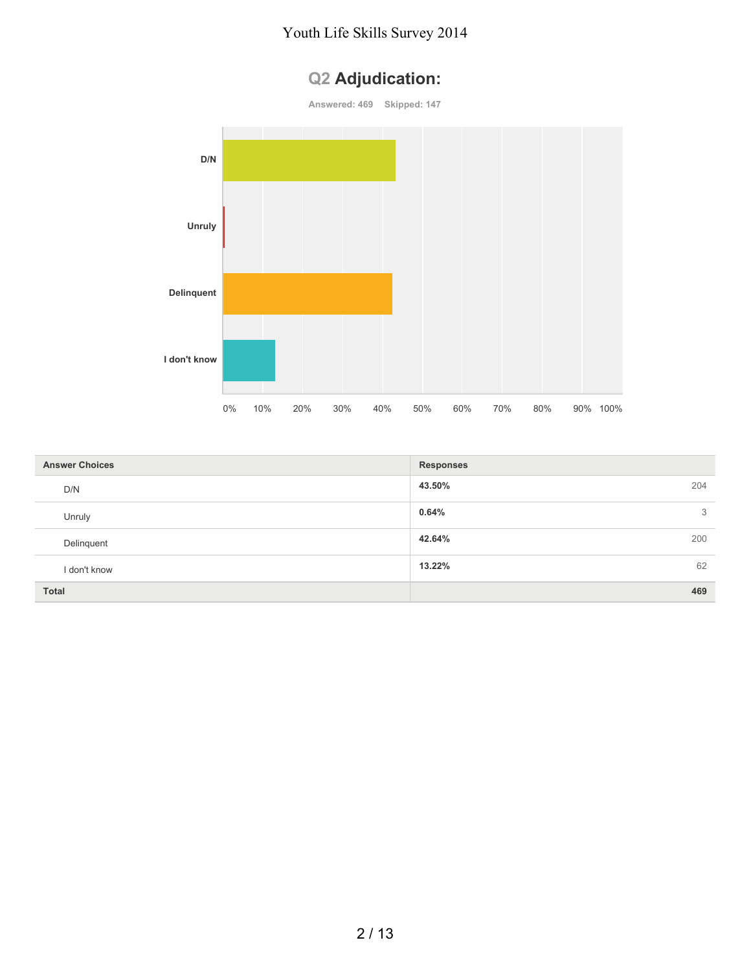## **Q2 Adjudication:**

**Answered: 469 Skipped: 147**



| <b>Answer Choices</b> | <b>Responses</b> |
|-----------------------|------------------|
| D/N                   | 43.50%<br>204    |
| Unruly                | 0.64%<br>3       |
| Delinquent            | 42.64%<br>200    |
| I don't know          | 62<br>13.22%     |
| <b>Total</b>          | 469              |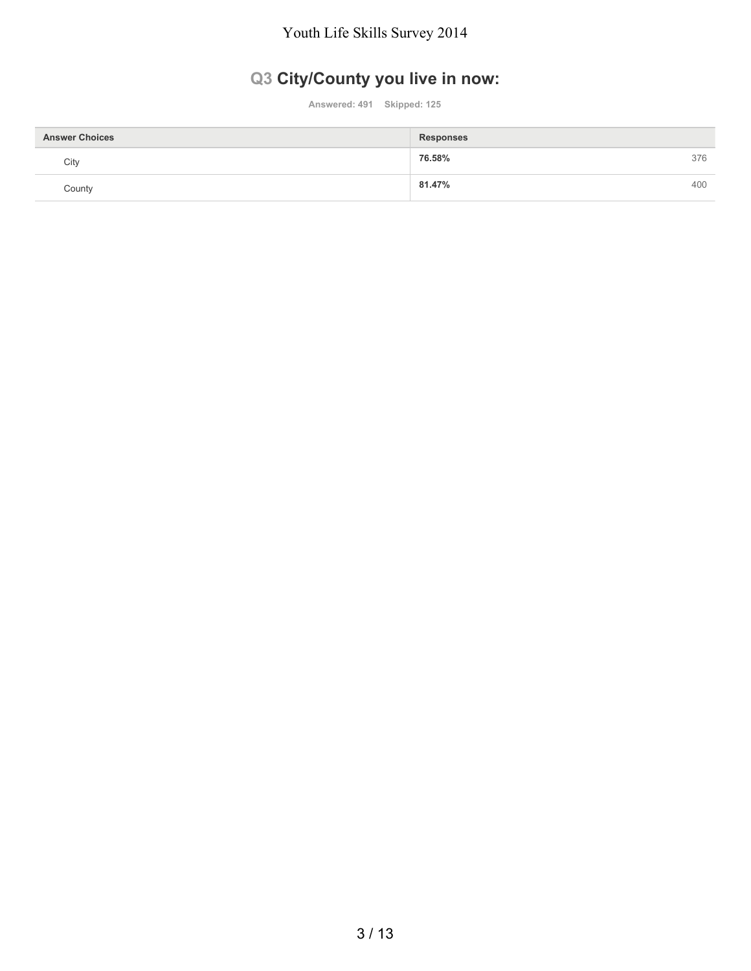## **Q3 City/County you live in now:**

**Answered: 491 Skipped: 125**

| <b>Answer Choices</b> | <b>Responses</b> |     |
|-----------------------|------------------|-----|
| City                  | 76.58%           | 376 |
| County                | 81.47%           | 400 |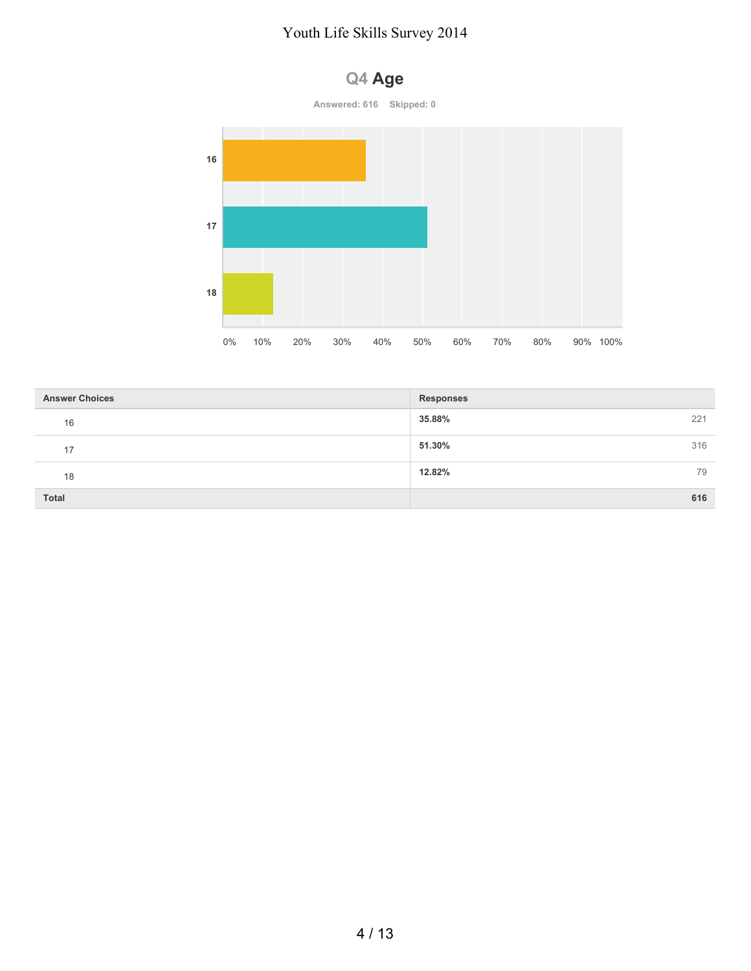

| <b>Answer Choices</b> | <b>Responses</b> |
|-----------------------|------------------|
| 16                    | 35.88%<br>221    |
| 17                    | 51.30%<br>316    |
| 18                    | 12.82%<br>79     |
| <b>Total</b>          | 616              |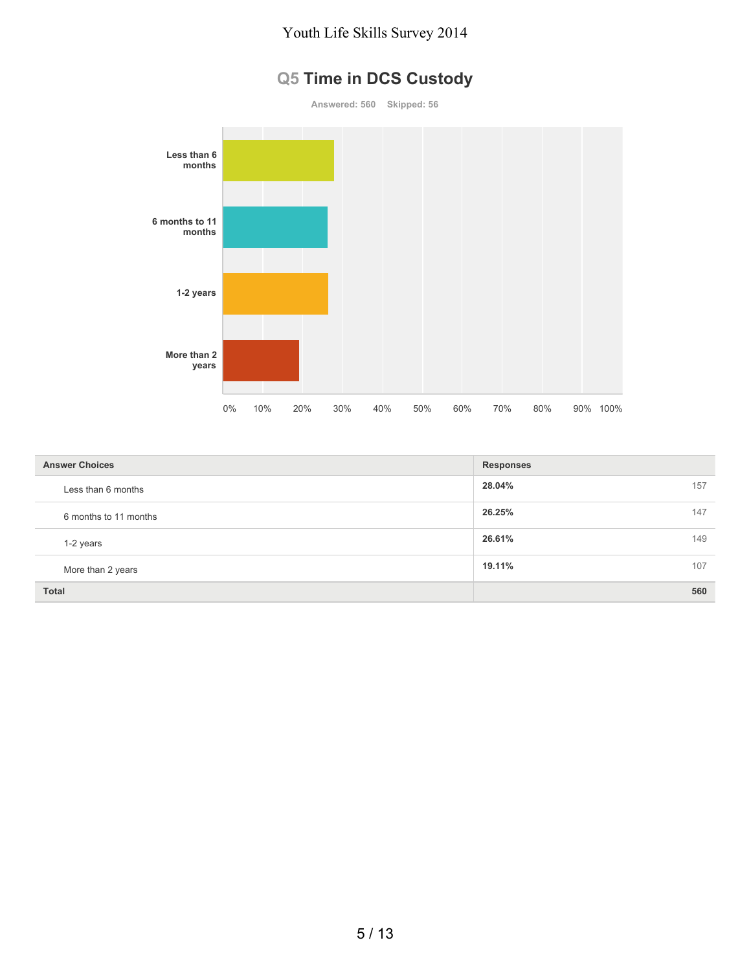## **Q5 Time in DCS Custody**

**Answered: 560 Skipped: 56 Less than 6 months 6 months to 11 months 1-2 years More than 2 years** 0% 10% 20% 30% 40% 50% 60% 70% 80% 90% 100%

| <b>Answer Choices</b> | <b>Responses</b> |
|-----------------------|------------------|
| Less than 6 months    | 28.04%<br>157    |
| 6 months to 11 months | 147<br>26.25%    |
| 1-2 years             | 26.61%<br>149    |
| More than 2 years     | 19.11%<br>107    |
| <b>Total</b>          | 560              |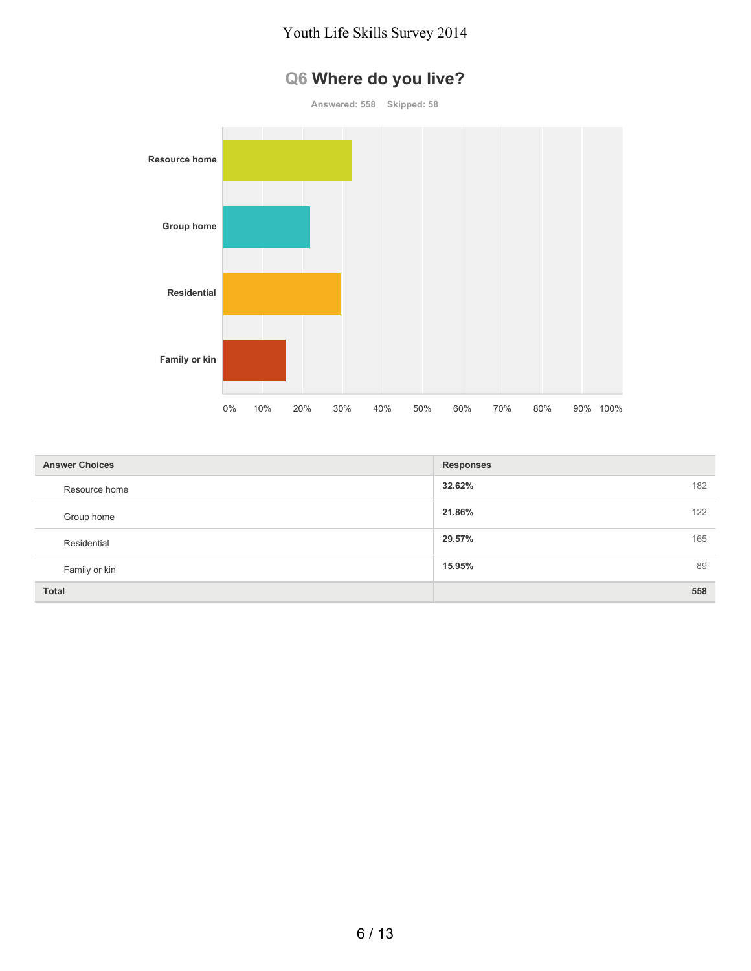## **Q6 Where do you live?**



| <b>Answer Choices</b> | <b>Responses</b> |
|-----------------------|------------------|
| Resource home         | 32.62%<br>182    |
| Group home            | 21.86%<br>122    |
| Residential           | 29.57%<br>165    |
| Family or kin         | 15.95%<br>89     |
| <b>Total</b>          | 558              |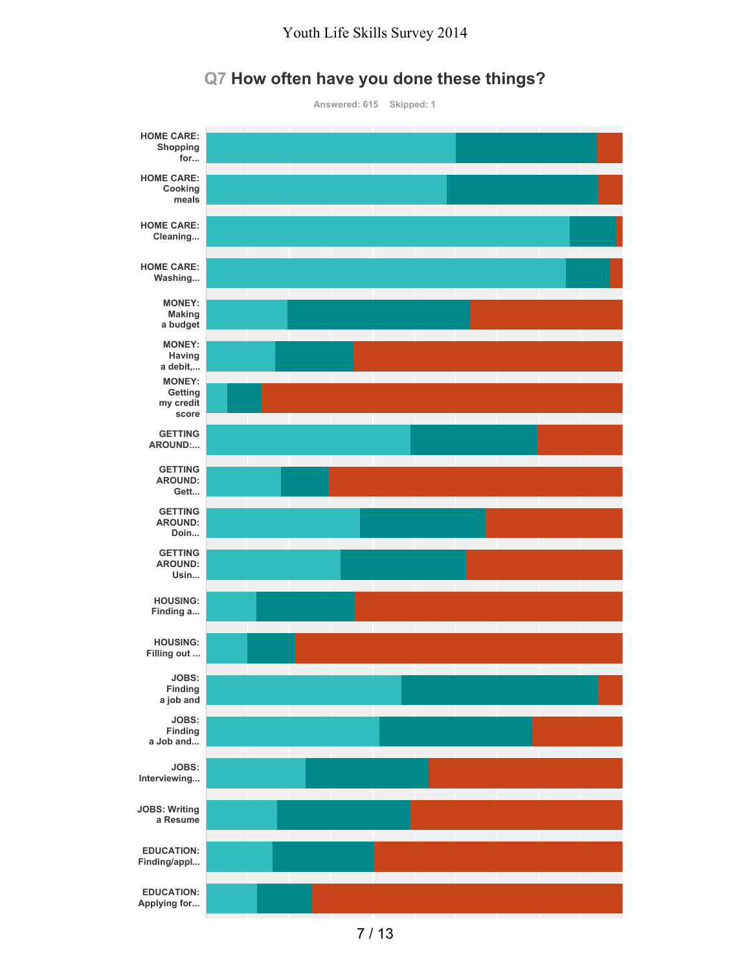

#### **Q7 How often have you done these things?**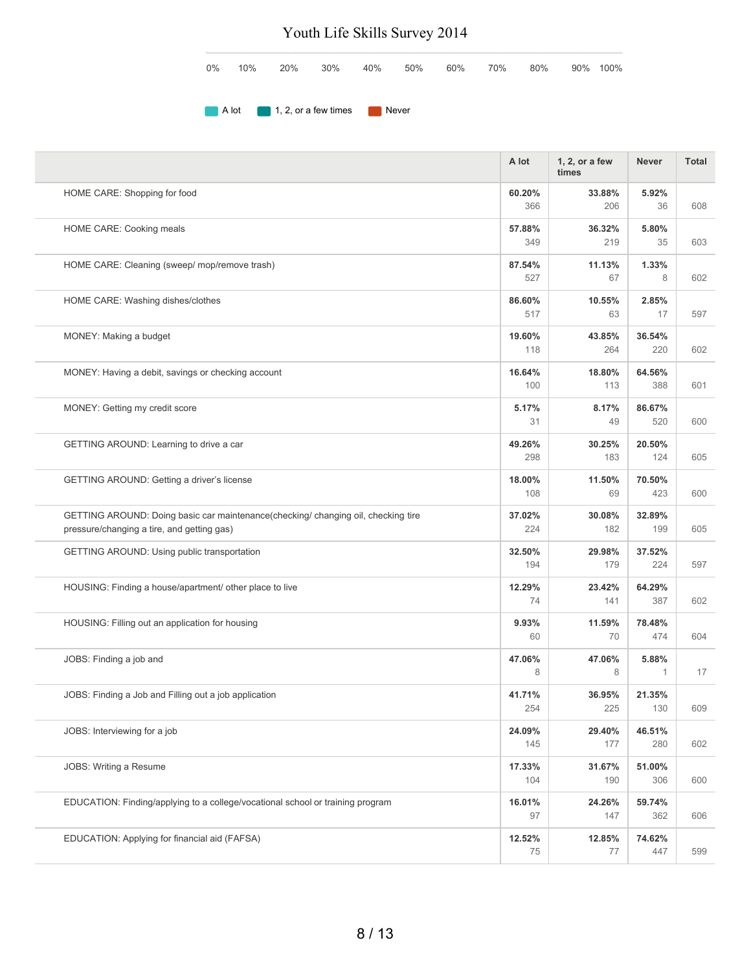| $0\%$ | 10% | 20% | 30%                            | 40%   | 50% | 60% | 70% | 80% | 90% 100% |
|-------|-----|-----|--------------------------------|-------|-----|-----|-----|-----|----------|
|       |     |     |                                |       |     |     |     |     |          |
|       |     |     | A lot 1, 2, or a few times and | Never |     |     |     |     |          |

|                                                                                                                                | A lot         | 1, 2, or a few<br>times | <b>Never</b>  | <b>Total</b> |
|--------------------------------------------------------------------------------------------------------------------------------|---------------|-------------------------|---------------|--------------|
| HOME CARE: Shopping for food                                                                                                   | 60.20%<br>366 | 33.88%<br>206           | 5.92%<br>36   | 608          |
| HOME CARE: Cooking meals                                                                                                       | 57.88%<br>349 | 36.32%<br>219           | 5.80%<br>35   | 603          |
| HOME CARE: Cleaning (sweep/ mop/remove trash)                                                                                  | 87.54%<br>527 | 11.13%<br>67            | 1.33%<br>8    | 602          |
| HOME CARE: Washing dishes/clothes                                                                                              | 86.60%<br>517 | 10.55%<br>63            | 2.85%<br>17   | 597          |
| MONEY: Making a budget                                                                                                         | 19.60%<br>118 | 43.85%<br>264           | 36.54%<br>220 | 602          |
| MONEY: Having a debit, savings or checking account                                                                             | 16.64%<br>100 | 18.80%<br>113           | 64.56%<br>388 | 601          |
| MONEY: Getting my credit score                                                                                                 | 5.17%<br>31   | 8.17%<br>49             | 86.67%<br>520 | 600          |
| GETTING AROUND: Learning to drive a car                                                                                        | 49.26%<br>298 | 30.25%<br>183           | 20.50%<br>124 | 605          |
| GETTING AROUND: Getting a driver's license                                                                                     | 18.00%<br>108 | 11.50%<br>69            | 70.50%<br>423 | 600          |
| GETTING AROUND: Doing basic car maintenance(checking/changing oil, checking tire<br>pressure/changing a tire, and getting gas) | 37.02%<br>224 | 30.08%<br>182           | 32.89%<br>199 | 605          |
| GETTING AROUND: Using public transportation                                                                                    | 32.50%<br>194 | 29.98%<br>179           | 37.52%<br>224 | 597          |
| HOUSING: Finding a house/apartment/ other place to live                                                                        | 12.29%<br>74  | 23.42%<br>141           | 64.29%<br>387 | 602          |
| HOUSING: Filling out an application for housing                                                                                | 9.93%<br>60   | 11.59%<br>70            | 78.48%<br>474 | 604          |
| JOBS: Finding a job and                                                                                                        | 47.06%<br>8   | 47.06%<br>8             | 5.88%<br>1    | 17           |
| JOBS: Finding a Job and Filling out a job application                                                                          | 41.71%<br>254 | 36.95%<br>225           | 21.35%<br>130 | 609          |
| JOBS: Interviewing for a job                                                                                                   | 24.09%<br>145 | 29.40%<br>177           | 46.51%<br>280 | 602          |
| JOBS: Writing a Resume                                                                                                         | 17.33%<br>104 | 31.67%<br>190           | 51.00%<br>306 | 600          |
| EDUCATION: Finding/applying to a college/vocational school or training program                                                 | 16.01%<br>97  | 24.26%<br>147           | 59.74%<br>362 | 606          |
| EDUCATION: Applying for financial aid (FAFSA)                                                                                  | 12.52%<br>75  | 12.85%<br>77            | 74.62%<br>447 | 599          |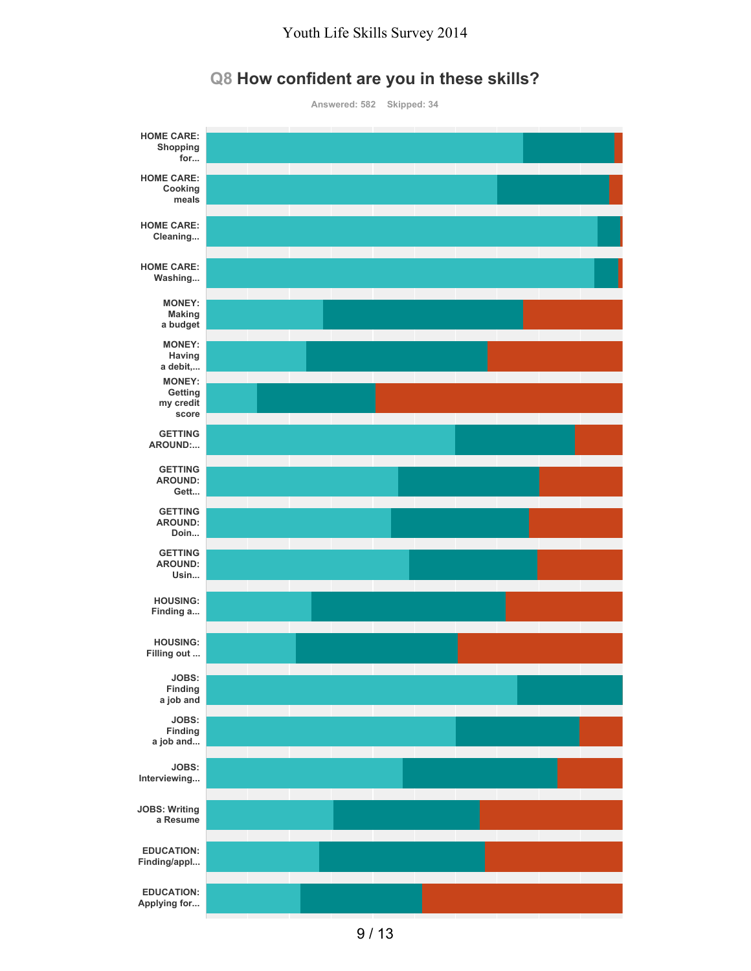

#### **Q8 How confident are you in these skills?**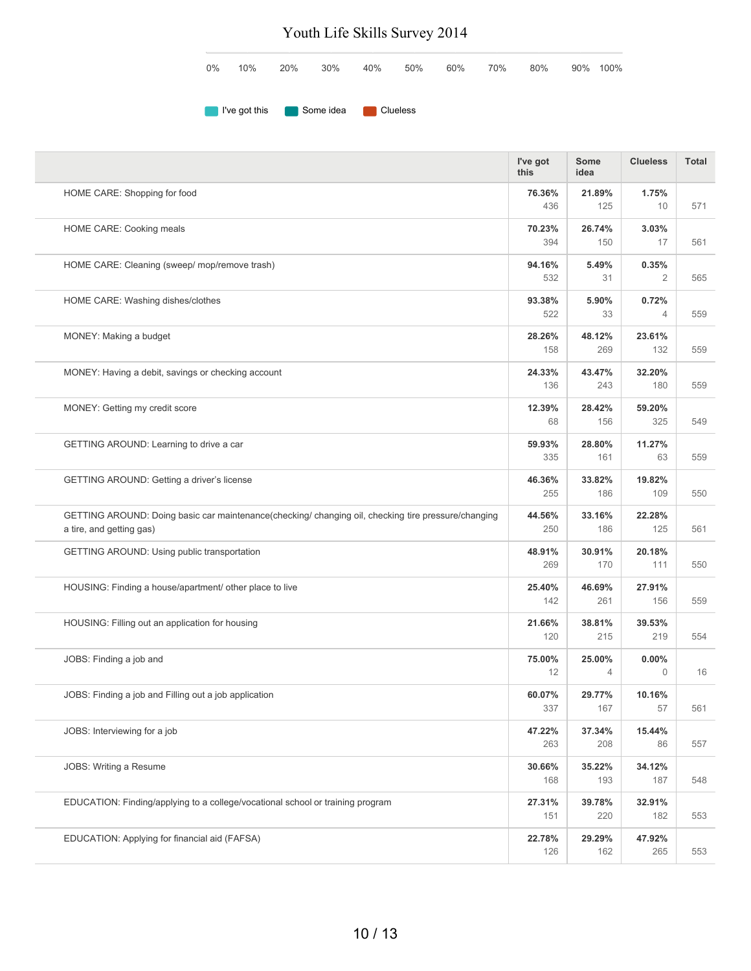|  |  |  |  | $0\%$ 10% 20% 30% 40% 50% 60% 70% 80% 90%100% |  |
|--|--|--|--|-----------------------------------------------|--|
|  |  |  |  |                                               |  |

**I've got this** Some idea Clueless

|                                                                                                                                | I've got<br>this | Some<br>idea             | <b>Clueless</b>         | <b>Total</b> |
|--------------------------------------------------------------------------------------------------------------------------------|------------------|--------------------------|-------------------------|--------------|
| HOME CARE: Shopping for food                                                                                                   | 76.36%<br>436    | 21.89%<br>125            | 1.75%<br>10             | 571          |
| HOME CARE: Cooking meals                                                                                                       | 70.23%<br>394    | 26.74%<br>150            | 3.03%<br>17             | 561          |
| HOME CARE: Cleaning (sweep/ mop/remove trash)                                                                                  | 94.16%<br>532    | 5.49%<br>31              | 0.35%<br>$\overline{2}$ | 565          |
| HOME CARE: Washing dishes/clothes                                                                                              | 93.38%<br>522    | 5.90%<br>33              | 0.72%<br>$\overline{4}$ | 559          |
| MONEY: Making a budget                                                                                                         | 28.26%<br>158    | 48.12%<br>269            | 23.61%<br>132           | 559          |
| MONEY: Having a debit, savings or checking account                                                                             | 24.33%<br>136    | 43.47%<br>243            | 32.20%<br>180           | 559          |
| MONEY: Getting my credit score                                                                                                 | 12.39%<br>68     | 28.42%<br>156            | 59.20%<br>325           | 549          |
| GETTING AROUND: Learning to drive a car                                                                                        | 59.93%<br>335    | 28.80%<br>161            | 11.27%<br>63            | 559          |
| GETTING AROUND: Getting a driver's license                                                                                     | 46.36%<br>255    | 33.82%<br>186            | 19.82%<br>109           | 550          |
| GETTING AROUND: Doing basic car maintenance(checking/changing oil, checking tire pressure/changing<br>a tire, and getting gas) | 44.56%<br>250    | 33.16%<br>186            | 22.28%<br>125           | 561          |
| GETTING AROUND: Using public transportation                                                                                    | 48.91%<br>269    | 30.91%<br>170            | 20.18%<br>111           | 550          |
| HOUSING: Finding a house/apartment/ other place to live                                                                        | 25.40%<br>142    | 46.69%<br>261            | 27.91%<br>156           | 559          |
| HOUSING: Filling out an application for housing                                                                                | 21.66%<br>120    | 38.81%<br>215            | 39.53%<br>219           | 554          |
| JOBS: Finding a job and                                                                                                        | 75.00%<br>12     | 25.00%<br>$\overline{4}$ | $0.00\%$<br>$\Omega$    | 16           |
| JOBS: Finding a job and Filling out a job application                                                                          | 60.07%<br>337    | 29.77%<br>167            | 10.16%<br>57            | 561          |
| JOBS: Interviewing for a job                                                                                                   | 47.22%<br>263    | 37.34%<br>208            | 15.44%<br>86            | 557          |
| JOBS: Writing a Resume                                                                                                         | 30.66%<br>168    | 35.22%<br>193            | 34.12%<br>187           | 548          |
| EDUCATION: Finding/applying to a college/vocational school or training program                                                 | 27.31%<br>151    | 39.78%<br>220            | 32.91%<br>182           | 553          |
| EDUCATION: Applying for financial aid (FAFSA)                                                                                  | 22.78%<br>126    | 29.29%<br>162            | 47.92%<br>265           | 553          |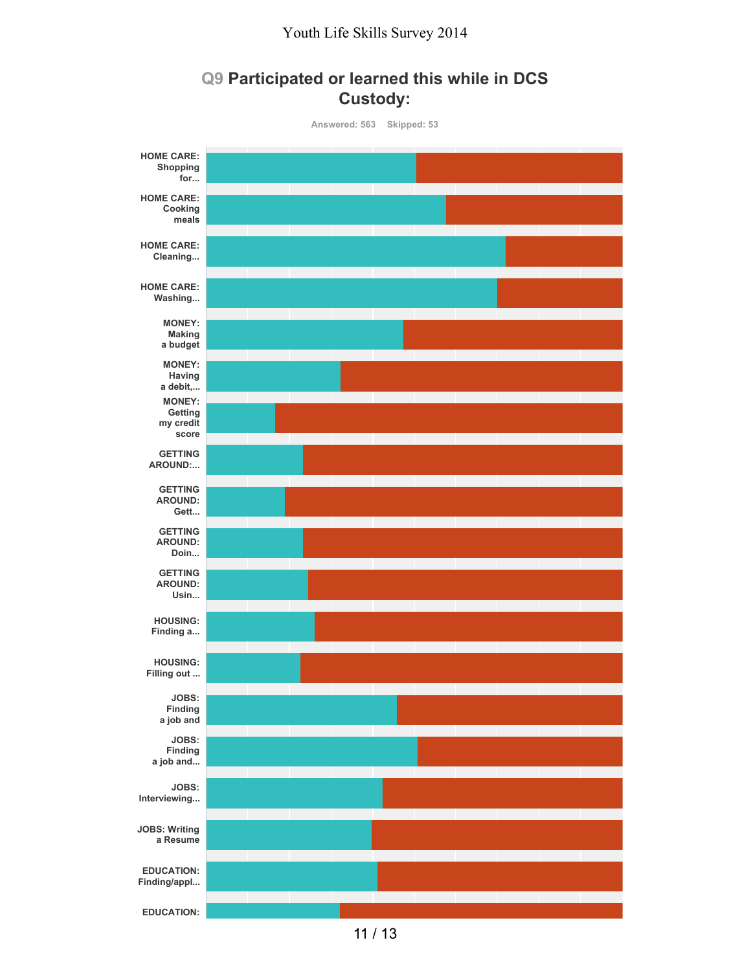### **Q9 Participated or learned this while in DCS Custody:**



11 / 13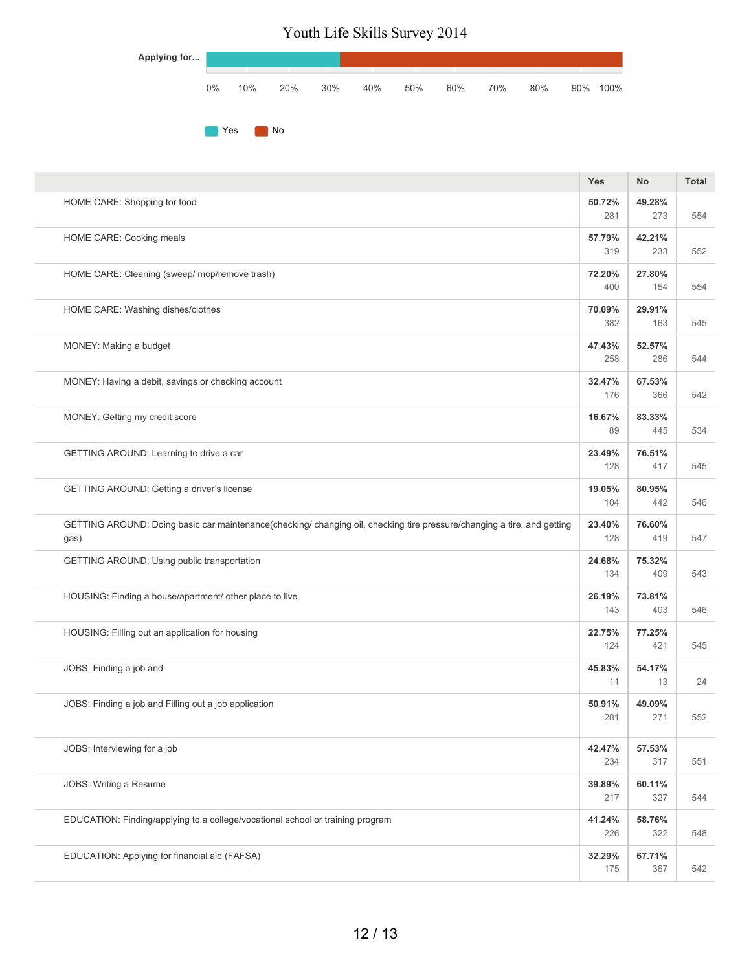| Applying for |       |     |     |     |     |     |     |     |     |     |      |
|--------------|-------|-----|-----|-----|-----|-----|-----|-----|-----|-----|------|
|              | $0\%$ | 10% | 20% | 30% | 40% | 50% | 60% | 70% | 80% | 90% | 100% |
|              | Yes   |     | No  |     |     |     |     |     |     |     |      |

|                                                                                                                                 | <b>Yes</b>    | No            | <b>Total</b> |
|---------------------------------------------------------------------------------------------------------------------------------|---------------|---------------|--------------|
| HOME CARE: Shopping for food                                                                                                    | 50.72%<br>281 | 49.28%<br>273 | 554          |
| HOME CARE: Cooking meals                                                                                                        | 57.79%<br>319 | 42.21%<br>233 | 552          |
| HOME CARE: Cleaning (sweep/ mop/remove trash)                                                                                   | 72.20%<br>400 | 27.80%<br>154 | 554          |
| HOME CARE: Washing dishes/clothes                                                                                               | 70.09%<br>382 | 29.91%<br>163 | 545          |
| MONEY: Making a budget                                                                                                          | 47.43%<br>258 | 52.57%<br>286 | 544          |
| MONEY: Having a debit, savings or checking account                                                                              | 32.47%<br>176 | 67.53%<br>366 | 542          |
| MONEY: Getting my credit score                                                                                                  | 16.67%<br>89  | 83.33%<br>445 | 534          |
| GETTING AROUND: Learning to drive a car                                                                                         | 23.49%<br>128 | 76.51%<br>417 | 545          |
| GETTING AROUND: Getting a driver's license                                                                                      | 19.05%<br>104 | 80.95%<br>442 | 546          |
| GETTING AROUND: Doing basic car maintenance(checking/ changing oil, checking tire pressure/changing a tire, and getting<br>gas) | 23.40%<br>128 | 76.60%<br>419 | 547          |
| GETTING AROUND: Using public transportation                                                                                     | 24.68%<br>134 | 75.32%<br>409 | 543          |
| HOUSING: Finding a house/apartment/ other place to live                                                                         | 26.19%<br>143 | 73.81%<br>403 | 546          |
| HOUSING: Filling out an application for housing                                                                                 | 22.75%<br>124 | 77.25%<br>421 | 545          |
| JOBS: Finding a job and                                                                                                         | 45.83%<br>11  | 54.17%<br>13  | 24           |
| JOBS: Finding a job and Filling out a job application                                                                           | 50.91%<br>281 | 49.09%<br>271 | 552          |
| JOBS: Interviewing for a job                                                                                                    | 42.47%<br>234 | 57.53%<br>317 | 551          |
| JOBS: Writing a Resume                                                                                                          | 39.89%<br>217 | 60.11%<br>327 | 544          |
| EDUCATION: Finding/applying to a college/vocational school or training program                                                  | 41.24%<br>226 | 58.76%<br>322 | 548          |
| EDUCATION: Applying for financial aid (FAFSA)                                                                                   | 32.29%<br>175 | 67.71%<br>367 | 542          |